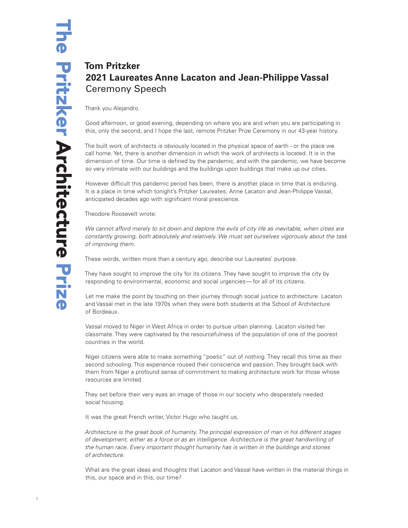## **Tom Pritzker 2021 Laureates Anne Lacaton and Jean-Philippe Vassal** Ceremony Speech

Thank you Alejandro.

Good afternoon, or good evening, depending on where you are and when you are participating in this, only the second, and I hope the last, remote Pritzker Prize Ceremony in our 43-year history.

The built work of architects is obviously located in the physical space of earth - or the place we call home. Yet, there is another dimension in which the work of architects is located. It is in the dimension of time. Our time is defined by the pandemic, and with the pandemic, we have become so very intimate with our buildings and the buildings upon buildings that make up our cities.

However difficult this pandemic period has been, there is another place in time that is enduring. It is a place in time which tonight's Pritzker Laureates, Anne Lacaton and Jean-Philippe Vassal, anticipated decades ago with significant moral prescience.

Theodore Roosevelt wrote:

*We cannot afford merely to sit down and deplore the evils of city life as inevitable, when cities are constantly growing, both absolutely and relatively. We must set ourselves vigorously about the task of improving them.*

These words, written more than a century ago, describe our Laureates' purpose.

They have sought to improve the city for its citizens. They have sought to improve the city by responding to environmental, economic and social urgencies— for all of its citizens.

Let me make the point by touching on their journey through social justice to architecture. Lacaton and Vassal met in the late 1970s when they were both students at the School of Architecture of Bordeaux.

Vassal moved to Niger in West Africa in order to pursue urban planning. Lacaton visited her classmate. They were captivated by the resourcefulness of the population of one of the poorest countries in the world.

Niger citizens were able to make something "poetic" out of nothing. They recall this time as their second schooling. This experience roused their conscience and passion. They brought back with them from Niger a profound sense of commitment to making architecture work for those whose resources are limited.

They set before their very eyes an image of those in our society who desperately needed social housing.

It was the great French writer, Victor Hugo who taught us,

*Architecture is the great book of humanity. The principal expression of man in his different stages of development, either as a force or as an intelligence. Architecture is the great handwriting of the human race. Every important thought humanity has is written in the buildings and stones of architecture.*

What are the great ideas and thoughts that Lacaton and Vassal have written in the material things in this, our space and in this, our time?